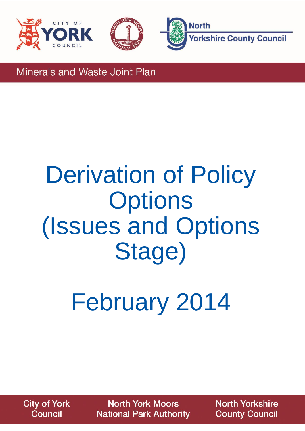





**Minerals and Waste Joint Plan** 

## Derivation of Policy **Options** (Issues and Options Stage)

February 2014

**City of York Council** 

**North York Moors National Park Authority** 

**North Yorkshire County Council**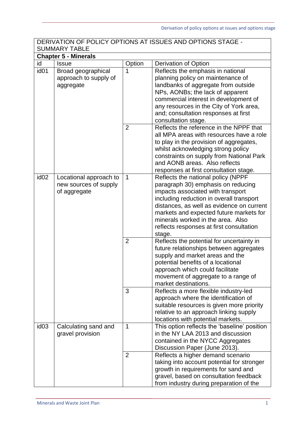| DERIVATION OF POLICY OPTIONS AT ISSUES AND OPTIONS STAGE -<br><b>SUMMARY TABLE</b> |                                                                 |                     |                                                                                                                                                                                                                                                                                                                                                                                                                                                                              |  |  |
|------------------------------------------------------------------------------------|-----------------------------------------------------------------|---------------------|------------------------------------------------------------------------------------------------------------------------------------------------------------------------------------------------------------------------------------------------------------------------------------------------------------------------------------------------------------------------------------------------------------------------------------------------------------------------------|--|--|
|                                                                                    | <b>Chapter 5 - Minerals</b>                                     |                     |                                                                                                                                                                                                                                                                                                                                                                                                                                                                              |  |  |
| id                                                                                 | <b>Issue</b>                                                    | Option              | Derivation of Option                                                                                                                                                                                                                                                                                                                                                                                                                                                         |  |  |
| id <sub>01</sub>                                                                   | Broad geographical<br>approach to supply of<br>aggregate        | 1                   | Reflects the emphasis in national<br>planning policy on maintenance of<br>landbanks of aggregate from outside<br>NPs, AONBs; the lack of apparent<br>commercial interest in development of<br>any resources in the City of York area,<br>and; consultation responses at first<br>consultation stage.                                                                                                                                                                         |  |  |
|                                                                                    |                                                                 | $\overline{2}$      | Reflects the reference in the NPPF that<br>all MPA areas with resources have a role<br>to play in the provision of aggregates,<br>whilst acknowledging strong policy<br>constraints on supply from National Park<br>and AONB areas. Also reflects<br>responses at first consultation stage.                                                                                                                                                                                  |  |  |
| id <sub>02</sub>                                                                   | Locational approach to<br>new sources of supply<br>of aggregate | $\mathbf 1$         | Reflects the national policy (NPPF<br>paragraph 30) emphasis on reducing<br>impacts associated with transport<br>including reduction in overall transport<br>distances, as well as evidence on current<br>markets and expected future markets for<br>minerals worked in the area. Also<br>reflects responses at first consultation<br>stage.                                                                                                                                 |  |  |
|                                                                                    |                                                                 | $\overline{2}$<br>3 | Reflects the potential for uncertainty in<br>future relationships between aggregates<br>supply and market areas and the<br>potential benefits of a locational<br>approach which could facilitate<br>movement of aggregate to a range of<br>market destinations.<br>Reflects a more flexible industry-led<br>approach where the identification of<br>suitable resources is given more priority<br>relative to an approach linking supply<br>locations with potential markets. |  |  |
| id <sub>03</sub>                                                                   | Calculating sand and<br>gravel provision                        | $\mathbf{1}$        | This option reflects the 'baseline' position<br>in the NY LAA 2013 and discussion<br>contained in the NYCC Aggregates<br>Discussion Paper (June 2013).                                                                                                                                                                                                                                                                                                                       |  |  |
|                                                                                    |                                                                 | $\overline{2}$      | Reflects a higher demand scenario<br>taking into account potential for stronger<br>growth in requirements for sand and<br>gravel, based on consultation feedback<br>from industry during preparation of the                                                                                                                                                                                                                                                                  |  |  |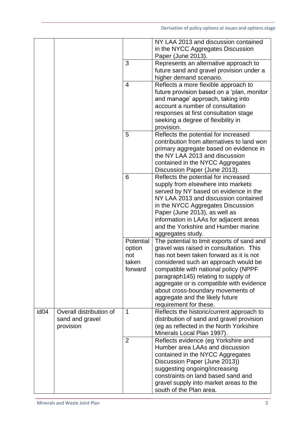|                  |                         |                | NY LAA 2013 and discussion contained<br>in the NYCC Aggregates Discussion<br>Paper (June 2013). |
|------------------|-------------------------|----------------|-------------------------------------------------------------------------------------------------|
|                  |                         |                |                                                                                                 |
|                  |                         | 3              | Represents an alternative approach to                                                           |
|                  |                         |                | future sand and gravel provision under a                                                        |
|                  |                         |                | higher demand scenario.                                                                         |
|                  |                         | $\overline{4}$ | Reflects a more flexible approach to                                                            |
|                  |                         |                | future provision based on a 'plan, monitor                                                      |
|                  |                         |                | and manage' approach, taking into                                                               |
|                  |                         |                | account a number of consultation                                                                |
|                  |                         |                |                                                                                                 |
|                  |                         |                | responses at first consultation stage                                                           |
|                  |                         |                | seeking a degree of flexibility in                                                              |
|                  |                         |                | provision.                                                                                      |
|                  |                         | 5              | Reflects the potential for increased                                                            |
|                  |                         |                | contribution from alternatives to land won                                                      |
|                  |                         |                | primary aggregate based on evidence in                                                          |
|                  |                         |                | the NY LAA 2013 and discussion                                                                  |
|                  |                         |                | contained in the NYCC Aggregates                                                                |
|                  |                         |                |                                                                                                 |
|                  |                         |                | Discussion Paper (June 2013).                                                                   |
|                  |                         | 6              | Reflects the potential for increased                                                            |
|                  |                         |                | supply from elsewhere into markets                                                              |
|                  |                         |                | served by NY based on evidence in the                                                           |
|                  |                         |                | NY LAA 2013 and discussion contained                                                            |
|                  |                         |                | in the NYCC Aggregates Discussion                                                               |
|                  |                         |                | Paper (June 2013), as well as                                                                   |
|                  |                         |                | information in LAAs for adjacent areas                                                          |
|                  |                         |                | and the Yorkshire and Humber marine                                                             |
|                  |                         |                | aggregates study.                                                                               |
|                  |                         | Potential      | The potential to limit exports of sand and                                                      |
|                  |                         | option         | gravel was raised in consultation. This                                                         |
|                  |                         |                | has not been taken forward as it is not                                                         |
|                  |                         | not            |                                                                                                 |
|                  |                         | taken          | considered such an approach would be                                                            |
|                  |                         | forward        | compatible with national policy (NPPF                                                           |
|                  |                         |                | paragraph145) relating to supply of                                                             |
|                  |                         |                | aggregate or is compatible with evidence                                                        |
|                  |                         |                | about cross-boundary movements of                                                               |
|                  |                         |                | aggregate and the likely future                                                                 |
|                  |                         |                | requirement for these.                                                                          |
| id <sub>04</sub> | Overall distribution of | $\mathbf 1$    | Reflects the historic/current approach to                                                       |
|                  | sand and gravel         |                | distribution of sand and gravel provision                                                       |
|                  | provision               |                | (eg as reflected in the North Yorkshire                                                         |
|                  |                         |                | Minerals Local Plan 1997).                                                                      |
|                  |                         | 2              | Reflects evidence (eg Yorkshire and                                                             |
|                  |                         |                | Humber area LAAs and discussion                                                                 |
|                  |                         |                | contained in the NYCC Aggregates                                                                |
|                  |                         |                |                                                                                                 |
|                  |                         |                | Discussion Paper (June 2013))                                                                   |
|                  |                         |                | suggesting ongoing/increasing                                                                   |
|                  |                         |                | constraints on land based sand and                                                              |
|                  |                         |                | gravel supply into market areas to the                                                          |
|                  |                         |                | south of the Plan area.                                                                         |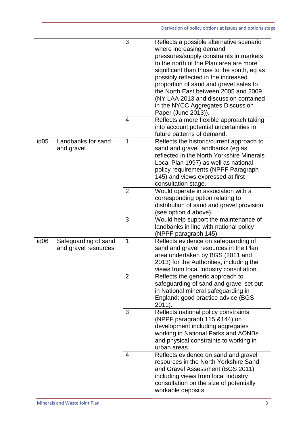|                  |                      | 3              | Reflects a possible alternative scenario                                |
|------------------|----------------------|----------------|-------------------------------------------------------------------------|
|                  |                      |                | where increasing demand                                                 |
|                  |                      |                | pressures/supply constraints in markets                                 |
|                  |                      |                | to the north of the Plan area are more                                  |
|                  |                      |                | significant than those to the south, eg as                              |
|                  |                      |                | possibly reflected in the increased                                     |
|                  |                      |                | proportion of sand and gravel sales to                                  |
|                  |                      |                | the North East between 2005 and 2009                                    |
|                  |                      |                |                                                                         |
|                  |                      |                | (NY LAA 2013 and discussion contained                                   |
|                  |                      |                | in the NYCC Aggregates Discussion                                       |
|                  |                      |                | Paper (June 2013)).                                                     |
|                  |                      | $\overline{4}$ | Reflects a more flexible approach taking                                |
|                  |                      |                | into account potential uncertainties in                                 |
| id <sub>05</sub> | Landbanks for sand   | $\mathbf 1$    | future patterns of demand.<br>Reflects the historic/current approach to |
|                  | and gravel           |                | sand and gravel landbanks (eg as                                        |
|                  |                      |                | reflected in the North Yorkshire Minerals                               |
|                  |                      |                | Local Plan 1997) as well as national                                    |
|                  |                      |                | policy requirements (NPPF Paragraph                                     |
|                  |                      |                | 145) and views expressed at first                                       |
|                  |                      |                | consultation stage.                                                     |
|                  |                      | $\overline{2}$ | Would operate in association with a                                     |
|                  |                      |                | corresponding option relating to                                        |
|                  |                      |                | distribution of sand and gravel provision                               |
|                  |                      |                | (see option 4 above).                                                   |
|                  |                      | 3              | Would help support the maintenance of                                   |
|                  |                      |                | landbanks in line with national policy                                  |
|                  |                      |                | (NPPF paragraph 145).                                                   |
| id <sub>06</sub> | Safeguarding of sand | $\mathbf{1}$   | Reflects evidence on safeguarding of                                    |
|                  | and gravel resources |                | sand and gravel resources in the Plan                                   |
|                  |                      |                | area undertaken by BGS (2011 and                                        |
|                  |                      |                | 2013) for the Authorities, including the                                |
|                  |                      |                | views from local industry consultation.                                 |
|                  |                      | 2              | Reflects the generic approach to                                        |
|                  |                      |                | safeguarding of sand and gravel set out                                 |
|                  |                      |                | in National mineral safeguarding in                                     |
|                  |                      |                | England: good practice advice (BGS                                      |
|                  |                      |                | $2011$ ).                                                               |
|                  |                      | 3              | Reflects national policy constraints                                    |
|                  |                      |                | (NPPF paragraph 115 & 144) on                                           |
|                  |                      |                | development including aggregates                                        |
|                  |                      |                | working in National Parks and AONBs                                     |
|                  |                      |                | and physical constraints to working in                                  |
|                  |                      |                | urban areas.                                                            |
|                  |                      | $\overline{4}$ | Reflects evidence on sand and gravel                                    |
|                  |                      |                | resources in the North Yorkshire Sand                                   |
|                  |                      |                | and Gravel Assessment (BGS 2011)                                        |
|                  |                      |                | including views from local industry                                     |
|                  |                      |                | consultation on the size of potentially                                 |
|                  |                      |                | workable deposits.                                                      |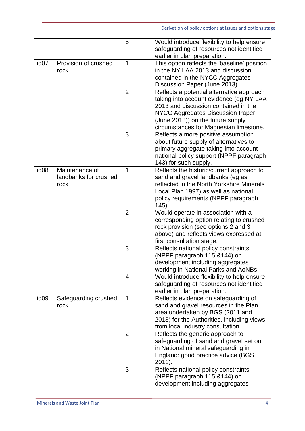|                  |                                                 | 5              | Would introduce flexibility to help ensure<br>safeguarding of resources not identified                                                                                                                                                                 |
|------------------|-------------------------------------------------|----------------|--------------------------------------------------------------------------------------------------------------------------------------------------------------------------------------------------------------------------------------------------------|
| id <sub>07</sub> | Provision of crushed<br>rock                    | 1              | earlier in plan preparation.<br>This option reflects the 'baseline' position<br>in the NY LAA 2013 and discussion<br>contained in the NYCC Aggregates                                                                                                  |
|                  |                                                 |                | Discussion Paper (June 2013).                                                                                                                                                                                                                          |
|                  |                                                 | $\overline{2}$ | Reflects a potential alternative approach<br>taking into account evidence (eg NY LAA<br>2013 and discussion contained in the<br><b>NYCC Aggregates Discussion Paper</b><br>(June 2013)) on the future supply<br>circumstances for Magnesian limestone. |
|                  |                                                 | 3              | Reflects a more positive assumption<br>about future supply of alternatives to<br>primary aggregate taking into account<br>national policy support (NPPF paragraph<br>143) for such supply.                                                             |
| id <sub>08</sub> | Maintenance of<br>landbanks for crushed<br>rock | 1              | Reflects the historic/current approach to<br>sand and gravel landbanks (eg as<br>reflected in the North Yorkshire Minerals<br>Local Plan 1997) as well as national<br>policy requirements (NPPF paragraph<br>145).                                     |
|                  |                                                 | $\overline{2}$ | Would operate in association with a<br>corresponding option relating to crushed<br>rock provision (see options 2 and 3<br>above) and reflects views expressed at<br>first consultation stage.                                                          |
|                  |                                                 | 3              | Reflects national policy constraints<br>(NPPF paragraph 115 & 144) on<br>development including aggregates<br>working in National Parks and AoNBs.                                                                                                      |
|                  |                                                 | $\overline{4}$ | Would introduce flexibility to help ensure<br>safeguarding of resources not identified<br>earlier in plan preparation.                                                                                                                                 |
| id <sub>09</sub> | Safeguarding crushed<br>rock                    | $\mathbf 1$    | Reflects evidence on safeguarding of<br>sand and gravel resources in the Plan<br>area undertaken by BGS (2011 and<br>2013) for the Authorities, including views<br>from local industry consultation.                                                   |
|                  |                                                 | $\overline{2}$ | Reflects the generic approach to<br>safeguarding of sand and gravel set out<br>in National mineral safeguarding in<br>England: good practice advice (BGS<br>2011).                                                                                     |
|                  |                                                 | 3              | Reflects national policy constraints<br>(NPPF paragraph 115 & 144) on<br>development including aggregates                                                                                                                                              |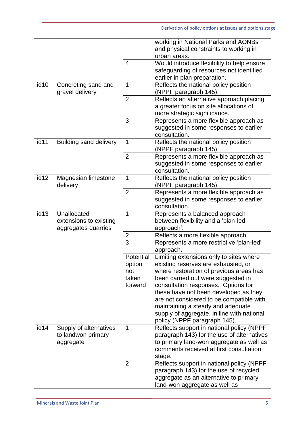|                    |                                        |                | working in National Parks and AONBs                            |
|--------------------|----------------------------------------|----------------|----------------------------------------------------------------|
|                    |                                        |                | and physical constraints to working in                         |
|                    |                                        |                | urban areas.                                                   |
|                    |                                        | $\overline{4}$ | Would introduce flexibility to help ensure                     |
|                    |                                        |                | safeguarding of resources not identified                       |
|                    |                                        |                | earlier in plan preparation.                                   |
| id <sub>10</sub>   | Concreting sand and<br>gravel delivery | $\mathbf 1$    | Reflects the national policy position<br>(NPPF paragraph 145). |
|                    |                                        | $\overline{2}$ | Reflects an alternative approach placing                       |
|                    |                                        |                | a greater focus on site allocations of                         |
|                    |                                        |                | more strategic significance.                                   |
|                    |                                        | 3              | Represents a more flexible approach as                         |
|                    |                                        |                | suggested in some responses to earlier                         |
|                    |                                        |                | consultation.                                                  |
| id11               | <b>Building sand delivery</b>          | 1              | Reflects the national policy position<br>(NPPF paragraph 145). |
|                    |                                        | $\overline{2}$ | Represents a more flexible approach as                         |
|                    |                                        |                | suggested in some responses to earlier                         |
|                    |                                        |                | consultation.                                                  |
| $\overline{id}$ 12 | Magnesian limestone                    | $\mathbf 1$    | Reflects the national policy position                          |
|                    | delivery                               |                | (NPPF paragraph 145).                                          |
|                    |                                        | $\overline{2}$ | Represents a more flexible approach as                         |
|                    |                                        |                | suggested in some responses to earlier                         |
|                    |                                        |                | consultation.                                                  |
| id <sub>13</sub>   | Unallocated                            | $\mathbf 1$    | Represents a balanced approach                                 |
|                    | extensions to existing                 |                | between flexibility and a 'plan-led                            |
|                    | aggregates quarries                    |                | approach'.                                                     |
|                    |                                        | 2              | Reflects a more flexible approach.                             |
|                    |                                        | $\overline{3}$ | Represents a more restrictive 'plan-led'                       |
|                    |                                        |                | approach.                                                      |
|                    |                                        | Potential      | Limiting extensions only to sites where                        |
|                    |                                        | option         | existing reserves are exhausted, or                            |
|                    |                                        | not            | where restoration of previous areas has                        |
|                    |                                        | taken          | been carried out were suggested in                             |
|                    |                                        | forward        | consultation responses. Options for                            |
|                    |                                        |                | these have not been developed as they                          |
|                    |                                        |                | are not considered to be compatible with                       |
|                    |                                        |                | maintaining a steady and adequate                              |
|                    |                                        |                | supply of aggregate, in line with national                     |
|                    |                                        |                | policy (NPPF paragraph 145).                                   |
| id14               | Supply of alternatives                 | $\mathbf 1$    | Reflects support in national policy (NPPF                      |
|                    | to landwon primary                     |                | paragraph 143) for the use of alternatives                     |
|                    | aggregate                              |                | to primary land-won aggregate as well as                       |
|                    |                                        |                | comments received at first consultation                        |
|                    |                                        |                | stage.                                                         |
|                    |                                        | $\overline{2}$ | Reflects support in national policy (NPPF                      |
|                    |                                        |                | paragraph 143) for the use of recycled                         |
|                    |                                        |                | aggregate as an alternative to primary                         |
|                    |                                        |                | land-won aggregate as well as                                  |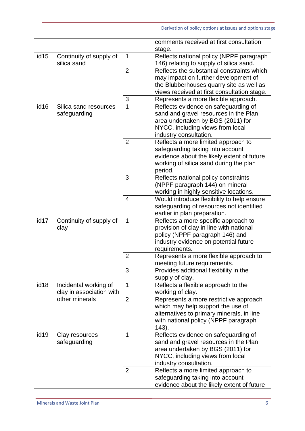|                  |                                        |                | comments received at first consultation                                             |
|------------------|----------------------------------------|----------------|-------------------------------------------------------------------------------------|
|                  |                                        |                | stage.                                                                              |
| id <sub>15</sub> | Continuity of supply of<br>silica sand | $\mathbf{1}$   | Reflects national policy (NPPF paragraph<br>146) relating to supply of silica sand. |
|                  |                                        | $\overline{2}$ | Reflects the substantial constraints which                                          |
|                  |                                        |                | may impact on further development of                                                |
|                  |                                        |                | the Blubberhouses quarry site as well as                                            |
|                  |                                        |                | views received at first consultation stage.                                         |
|                  |                                        | 3              | Represents a more flexible approach.                                                |
| id <sub>16</sub> | Silica sand resources                  | $\mathbf{1}$   | Reflects evidence on safeguarding of                                                |
|                  | safeguarding                           |                | sand and gravel resources in the Plan                                               |
|                  |                                        |                | area undertaken by BGS (2011) for                                                   |
|                  |                                        |                | NYCC, including views from local                                                    |
|                  |                                        |                | industry consultation.                                                              |
|                  |                                        | $\overline{2}$ | Reflects a more limited approach to                                                 |
|                  |                                        |                | safeguarding taking into account                                                    |
|                  |                                        |                | evidence about the likely extent of future                                          |
|                  |                                        |                | working of silica sand during the plan                                              |
|                  |                                        |                | period.                                                                             |
|                  |                                        | 3              | Reflects national policy constraints                                                |
|                  |                                        |                | (NPPF paragraph 144) on mineral                                                     |
|                  |                                        |                | working in highly sensitive locations.                                              |
|                  |                                        | $\overline{4}$ | Would introduce flexibility to help ensure                                          |
|                  |                                        |                | safeguarding of resources not identified                                            |
|                  |                                        |                | earlier in plan preparation.                                                        |
| id17             | Continuity of supply of                | $\mathbf 1$    | Reflects a more specific approach to                                                |
|                  | clay                                   |                | provision of clay in line with national                                             |
|                  |                                        |                | policy (NPPF paragraph 146) and<br>industry evidence on potential future            |
|                  |                                        |                | requirements.                                                                       |
|                  |                                        | $\overline{2}$ | Represents a more flexible approach to                                              |
|                  |                                        |                | meeting future requirements.                                                        |
|                  |                                        | 3              | Provides additional flexibility in the                                              |
|                  |                                        |                | supply of clay.                                                                     |
| id18             | Incidental working of                  | $\mathbf 1$    | Reflects a flexible approach to the                                                 |
|                  | clay in association with               |                | working of clay.                                                                    |
|                  | other minerals                         | $\overline{2}$ | Represents a more restrictive approach                                              |
|                  |                                        |                | which may help support the use of                                                   |
|                  |                                        |                | alternatives to primary minerals, in line                                           |
|                  |                                        |                | with national policy (NPPF paragraph                                                |
|                  |                                        |                | $143$ ).                                                                            |
| id <sub>19</sub> | Clay resources                         | 1              | Reflects evidence on safeguarding of                                                |
|                  | safeguarding                           |                | sand and gravel resources in the Plan                                               |
|                  |                                        |                | area undertaken by BGS (2011) for                                                   |
|                  |                                        |                | NYCC, including views from local                                                    |
|                  |                                        |                | industry consultation.                                                              |
|                  |                                        | $\overline{2}$ | Reflects a more limited approach to                                                 |
|                  |                                        |                | safeguarding taking into account                                                    |
|                  |                                        |                | evidence about the likely extent of future                                          |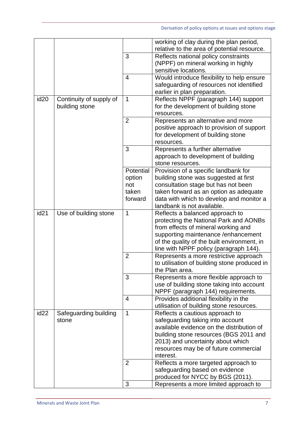|                  |                                           |                     | working of clay during the plan period,<br>relative to the area of potential resource. |
|------------------|-------------------------------------------|---------------------|----------------------------------------------------------------------------------------|
|                  |                                           | 3                   | Reflects national policy constraints                                                   |
|                  |                                           |                     | (NPPF) on mineral working in highly                                                    |
|                  |                                           |                     | sensitive locations.                                                                   |
|                  |                                           | 4                   | Would introduce flexibility to help ensure                                             |
|                  |                                           |                     | safeguarding of resources not identified                                               |
|                  |                                           |                     | earlier in plan preparation.                                                           |
| id <sub>20</sub> | Continuity of supply of<br>building stone | 1                   | Reflects NPPF (paragraph 144) support<br>for the development of building stone         |
|                  |                                           |                     | resources.                                                                             |
|                  |                                           | $\overline{2}$      | Represents an alternative and more                                                     |
|                  |                                           |                     | positive approach to provision of support                                              |
|                  |                                           |                     | for development of building stone                                                      |
|                  |                                           |                     | resources.                                                                             |
|                  |                                           | 3                   | Represents a further alternative                                                       |
|                  |                                           |                     | approach to development of building                                                    |
|                  |                                           |                     | stone resources.                                                                       |
|                  |                                           | Potential<br>option | Provision of a specific landbank for<br>building stone was suggested at first          |
|                  |                                           | not                 | consultation stage but has not been                                                    |
|                  |                                           | taken               | taken forward as an option as adequate                                                 |
|                  |                                           | forward             | data with which to develop and monitor a                                               |
|                  |                                           |                     | landbank is not available.                                                             |
| id <sub>21</sub> | Use of building stone                     | 1                   | Reflects a balanced approach to                                                        |
|                  |                                           |                     | protecting the National Park and AONBs                                                 |
|                  |                                           |                     | from effects of mineral working and                                                    |
|                  |                                           |                     | supporting maintenance / enhancement<br>of the quality of the built environment, in    |
|                  |                                           |                     | line with NPPF policy (paragraph 144).                                                 |
|                  |                                           | $\overline{2}$      | Represents a more restrictive approach                                                 |
|                  |                                           |                     | to utilisation of building stone produced in                                           |
|                  |                                           |                     | the Plan area.                                                                         |
|                  |                                           | 3                   | Represents a more flexible approach to                                                 |
|                  |                                           |                     | use of building stone taking into account                                              |
|                  |                                           |                     | NPPF (paragraph 144) requirements.                                                     |
|                  |                                           | 4                   | Provides additional flexibility in the<br>utilisation of building stone resources.     |
| id <sub>22</sub> | Safeguarding building                     | $\overline{1}$      | Reflects a cautious approach to                                                        |
|                  | stone                                     |                     | safeguarding taking into account                                                       |
|                  |                                           |                     | available evidence on the distribution of                                              |
|                  |                                           |                     | building stone resources (BGS 2011 and                                                 |
|                  |                                           |                     | 2013) and uncertainty about which                                                      |
|                  |                                           |                     | resources may be of future commercial                                                  |
|                  |                                           |                     | interest.                                                                              |
|                  |                                           | $\overline{2}$      | Reflects a more targeted approach to<br>safeguarding based on evidence                 |
|                  |                                           |                     | produced for NYCC by BGS (2011).                                                       |
|                  |                                           | 3                   | Represents a more limited approach to                                                  |
|                  |                                           |                     |                                                                                        |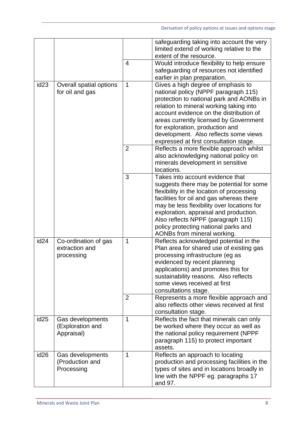|                  |                                                      |                                | safeguarding taking into account the very<br>limited extend of working relative to the<br>extent of the resource.                                                                                                                                                                                                                                                            |
|------------------|------------------------------------------------------|--------------------------------|------------------------------------------------------------------------------------------------------------------------------------------------------------------------------------------------------------------------------------------------------------------------------------------------------------------------------------------------------------------------------|
|                  |                                                      | $\overline{4}$                 | Would introduce flexibility to help ensure<br>safeguarding of resources not identified<br>earlier in plan preparation.                                                                                                                                                                                                                                                       |
| id <sub>23</sub> | Overall spatial options<br>for oil and gas           | $\mathbf 1$                    | Gives a high degree of emphasis to<br>national policy (NPPF paragraph 115)<br>protection to national park and AONBs in<br>relation to mineral working taking into<br>account evidence on the distribution of<br>areas currently licensed by Government<br>for exploration, production and<br>development. Also reflects some views<br>expressed at first consultation stage. |
|                  |                                                      | $\overline{2}$                 | Reflects a more flexible approach whilst<br>also acknowledging national policy on<br>minerals development in sensitive<br>locations.                                                                                                                                                                                                                                         |
|                  |                                                      | 3                              | Takes into account evidence that<br>suggests there may be potential for some<br>flexibility in the location of processing<br>facilities for oil and gas whereas there<br>may be less flexibility over locations for<br>exploration, appraisal and production.<br>Also reflects NPPF (paragraph 115)<br>policy protecting national parks and<br>AONBs from mineral working.   |
| id <sub>24</sub> | Co-ordination of gas<br>extraction and<br>processing | $\mathbf{1}$<br>$\overline{2}$ | Reflects acknowledged potential in the<br>Plan area for shared use of existing gas<br>processing infrastructure (eg as<br>evidenced by recent planning<br>applications) and promotes this for<br>sustainability reasons. Also reflects<br>some views received at first<br>consultations stage.<br>Represents a more flexible approach and                                    |
|                  |                                                      |                                | also reflects other views received at first<br>consultation stage.                                                                                                                                                                                                                                                                                                           |
| id <sub>25</sub> | Gas developments<br>(Exploration and<br>Appraisal)   | 1                              | Reflects the fact that minerals can only<br>be worked where they occur as well as<br>the national policy requirement (NPPF<br>paragraph 115) to protect important<br>assets.                                                                                                                                                                                                 |
| id <sub>26</sub> | Gas developments<br>(Production and<br>Processing    | 1                              | Reflects an approach to locating<br>production and processing facilities in the<br>types of sites and in locations broadly in<br>line with the NPPF eg. paragraphs 17<br>and 97.                                                                                                                                                                                             |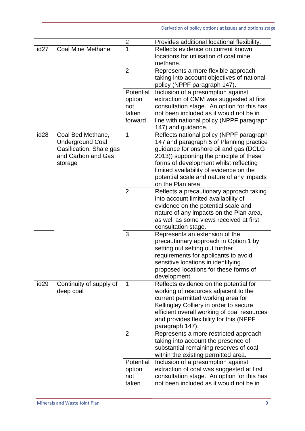|                  |                               | $\overline{2}$ | Provides additional locational flexibility.                                           |
|------------------|-------------------------------|----------------|---------------------------------------------------------------------------------------|
| id <sub>27</sub> | <b>Coal Mine Methane</b>      | 1              | Reflects evidence on current known                                                    |
|                  |                               |                | locations for utilisation of coal mine                                                |
|                  |                               | $\overline{2}$ | methane.<br>Represents a more flexible approach                                       |
|                  |                               |                | taking into account objectives of national                                            |
|                  |                               |                | policy (NPPF paragraph 147).                                                          |
|                  |                               | Potential      | Inclusion of a presumption against                                                    |
|                  |                               | option         | extraction of CMM was suggested at first                                              |
|                  |                               | not<br>taken   | consultation stage. An option for this has<br>not been included as it would not be in |
|                  |                               | forward        | line with national policy (NPPF paragraph                                             |
|                  |                               |                | 147) and guidance.                                                                    |
| id <sub>28</sub> | Coal Bed Methane,             | 1              | Reflects national policy (NPPF paragraph                                              |
|                  | <b>Underground Coal</b>       |                | 147 and paragraph 5 of Planning practice                                              |
|                  | Gasification, Shale gas       |                | guidance for onshore oil and gas (DCLG                                                |
|                  | and Carbon and Gas<br>storage |                | 2013)) supporting the principle of these<br>forms of development whilst reflecting    |
|                  |                               |                | limited availability of evidence on the                                               |
|                  |                               |                | potential scale and nature of any impacts                                             |
|                  |                               |                | on the Plan area.                                                                     |
|                  |                               | $\overline{2}$ | Reflects a precautionary approach taking                                              |
|                  |                               |                | into account limited availability of<br>evidence on the potential scale and           |
|                  |                               |                | nature of any impacts on the Plan area,                                               |
|                  |                               |                | as well as some views received at first                                               |
|                  |                               |                | consultation stage.                                                                   |
|                  |                               | 3              | Represents an extension of the                                                        |
|                  |                               |                | precautionary approach in Option 1 by<br>setting out setting out further              |
|                  |                               |                | requirements for applicants to avoid                                                  |
|                  |                               |                | sensitive locations in identifying                                                    |
|                  |                               |                | proposed locations for these forms of                                                 |
|                  |                               |                | development.                                                                          |
| id <sub>29</sub> | Continuity of supply of       | $\mathbf 1$    | Reflects evidence on the potential for                                                |
|                  | deep coal                     |                | working of resources adjacent to the<br>current permitted working area for            |
|                  |                               |                | Kellingley Colliery in order to secure                                                |
|                  |                               |                | efficient overall working of coal resources                                           |
|                  |                               |                | and provides flexibility for this (NPPF                                               |
|                  |                               |                | paragraph 147).                                                                       |
|                  |                               | 2              | Represents a more restricted approach<br>taking into account the presence of          |
|                  |                               |                | substantial remaining reserves of coal                                                |
|                  |                               |                | within the existing permitted area.                                                   |
|                  |                               | Potential      | Inclusion of a presumption against                                                    |
|                  |                               | option         | extraction of coal was suggested at first                                             |
|                  |                               | not<br>taken   | consultation stage. An option for this has                                            |
|                  |                               |                | not been included as it would not be in                                               |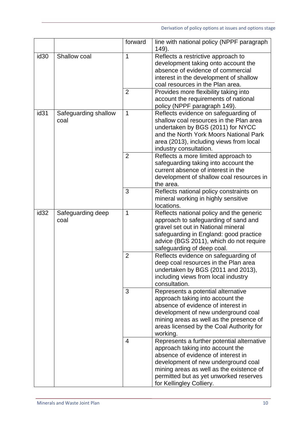|                  |                              | forward             | line with national policy (NPPF paragraph<br>149).                                                                                                                                                                                                                            |
|------------------|------------------------------|---------------------|-------------------------------------------------------------------------------------------------------------------------------------------------------------------------------------------------------------------------------------------------------------------------------|
| id <sub>30</sub> | Shallow coal                 | 1<br>$\overline{2}$ | Reflects a restrictive approach to<br>development taking onto account the<br>absence of evidence of commercial<br>interest in the development of shallow<br>coal resources in the Plan area.<br>Provides more flexibility taking into<br>account the requirements of national |
| id <sub>31</sub> | Safeguarding shallow<br>coal | $\mathbf{1}$        | policy (NPPF paragraph 149).<br>Reflects evidence on safeguarding of<br>shallow coal resources in the Plan area<br>undertaken by BGS (2011) for NYCC<br>and the North York Moors National Park<br>area (2013), including views from local<br>industry consultation.           |
|                  |                              | $\overline{2}$      | Reflects a more limited approach to<br>safeguarding taking into account the<br>current absence of interest in the<br>development of shallow coal resources in<br>the area.                                                                                                    |
|                  |                              | 3                   | Reflects national policy constraints on<br>mineral working in highly sensitive<br>locations.                                                                                                                                                                                  |
| id <sub>32</sub> | Safeguarding deep<br>coal    | 1                   | Reflects national policy and the generic<br>approach to safeguarding of sand and<br>gravel set out in National mineral<br>safeguarding in England: good practice<br>advice (BGS 2011), which do not require<br>safeguarding of deep coal.                                     |
|                  |                              | $\overline{2}$      | Reflects evidence on safeguarding of<br>deep coal resources in the Plan area<br>undertaken by BGS (2011 and 2013),<br>including views from local industry<br>consultation.                                                                                                    |
|                  |                              | 3                   | Represents a potential alternative<br>approach taking into account the<br>absence of evidence of interest in<br>development of new underground coal<br>mining areas as well as the presence of<br>areas licensed by the Coal Authority for<br>working.                        |
|                  |                              | $\overline{4}$      | Represents a further potential alternative<br>approach taking into account the<br>absence of evidence of interest in<br>development of new underground coal<br>mining areas as well as the existence of<br>permitted but as yet unworked reserves<br>for Kellingley Colliery. |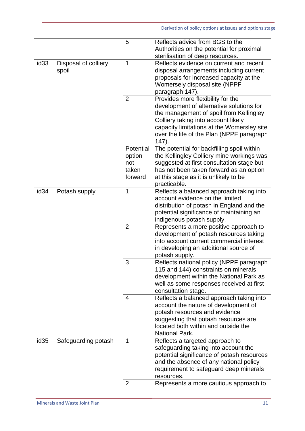|                  |                               | 5                                              | Reflects advice from BGS to the<br>Authorities on the potential for proximal<br>sterilisation of deep resources.                                                                                                                                                       |
|------------------|-------------------------------|------------------------------------------------|------------------------------------------------------------------------------------------------------------------------------------------------------------------------------------------------------------------------------------------------------------------------|
| id <sub>33</sub> | Disposal of colliery<br>spoil | 1                                              | Reflects evidence on current and recent<br>disposal arrangements including current<br>proposals for increased capacity at the<br>Womersely disposal site (NPPF<br>paragraph 147).                                                                                      |
|                  |                               | $\overline{2}$                                 | Provides more flexibility for the<br>development of alternative solutions for<br>the management of spoil from Kellingley<br>Colliery taking into account likely<br>capacity limitations at the Womersley site<br>over the life of the Plan (NPPF paragraph<br>$147)$ . |
|                  |                               | Potential<br>option<br>not<br>taken<br>forward | The potential for backfilling spoil within<br>the Kellingley Colliery mine workings was<br>suggested at first consultation stage but<br>has not been taken forward as an option<br>at this stage as it is unlikely to be<br>practicable.                               |
| id <sub>34</sub> | Potash supply                 | 1                                              | Reflects a balanced approach taking into<br>account evidence on the limited<br>distribution of potash in England and the<br>potential significance of maintaining an<br>indigenous potash supply.                                                                      |
|                  |                               | $\overline{2}$                                 | Represents a more positive approach to<br>development of potash resources taking<br>into account current commercial interest<br>in developing an additional source of<br>potash supply.                                                                                |
|                  |                               | 3                                              | Reflects national policy (NPPF paragraph<br>115 and 144) constraints on minerals<br>development within the National Park as<br>well as some responses received at first<br>consultation stage.                                                                         |
|                  |                               | 4                                              | Reflects a balanced approach taking into<br>account the nature of development of<br>potash resources and evidence<br>suggesting that potash resources are<br>located both within and outside the<br><b>National Park.</b>                                              |
| id <sub>35</sub> | Safeguarding potash           | 1                                              | Reflects a targeted approach to<br>safeguarding taking into account the<br>potential significance of potash resources<br>and the absence of any national policy<br>requirement to safeguard deep minerals<br>resources.                                                |
|                  |                               | $\overline{2}$                                 | Represents a more cautious approach to                                                                                                                                                                                                                                 |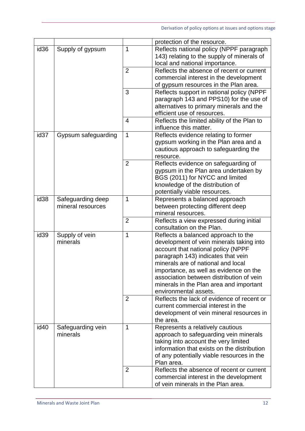|                  |                                        |                | protection of the resource.                                                                                                                                                                                                                                                                                                                                 |
|------------------|----------------------------------------|----------------|-------------------------------------------------------------------------------------------------------------------------------------------------------------------------------------------------------------------------------------------------------------------------------------------------------------------------------------------------------------|
| id <sub>36</sub> | Supply of gypsum                       | 1              | Reflects national policy (NPPF paragraph<br>143) relating to the supply of minerals of<br>local and national importance.                                                                                                                                                                                                                                    |
|                  |                                        | $\overline{2}$ | Reflects the absence of recent or current<br>commercial interest in the development<br>of gypsum resources in the Plan area.                                                                                                                                                                                                                                |
|                  |                                        | 3              | Reflects support in national policy (NPPF<br>paragraph 143 and PPS10) for the use of<br>alternatives to primary minerals and the<br>efficient use of resources.                                                                                                                                                                                             |
|                  |                                        | $\overline{4}$ | Reflects the limited ability of the Plan to<br>influence this matter.                                                                                                                                                                                                                                                                                       |
| id <sub>37</sub> | Gypsum safeguarding                    | $\mathbf 1$    | Reflects evidence relating to former<br>gypsum working in the Plan area and a<br>cautious approach to safeguarding the<br>resource.                                                                                                                                                                                                                         |
|                  |                                        | $\overline{2}$ | Reflects evidence on safeguarding of<br>gypsum in the Plan area undertaken by<br>BGS (2011) for NYCC and limited<br>knowledge of the distribution of<br>potentially viable resources.                                                                                                                                                                       |
| id <sub>38</sub> | Safeguarding deep<br>mineral resources | 1              | Represents a balanced approach<br>between protecting different deep<br>mineral resources.                                                                                                                                                                                                                                                                   |
|                  |                                        | $\overline{2}$ | Reflects a view expressed during initial<br>consultation on the Plan.                                                                                                                                                                                                                                                                                       |
| id <sub>39</sub> | Supply of vein<br>minerals             | 1              | Reflects a balanced approach to the<br>development of vein minerals taking into<br>account that national policy (NPPF<br>paragraph 143) indicates that vein<br>minerals are of national and local<br>importance, as well as evidence on the<br>association between distribution of vein<br>minerals in the Plan area and important<br>environmental assets. |
|                  |                                        | 2              | Reflects the lack of evidence of recent or<br>current commercial interest in the<br>development of vein mineral resources in<br>the area.                                                                                                                                                                                                                   |
| id <sub>40</sub> | Safeguarding vein<br>minerals          | 1              | Represents a relatively cautious<br>approach to safeguarding vein minerals<br>taking into account the very limited<br>information that exists on the distribution<br>of any potentially viable resources in the<br>Plan area.                                                                                                                               |
|                  |                                        | 2              | Reflects the absence of recent or current<br>commercial interest in the development<br>of vein minerals in the Plan area.                                                                                                                                                                                                                                   |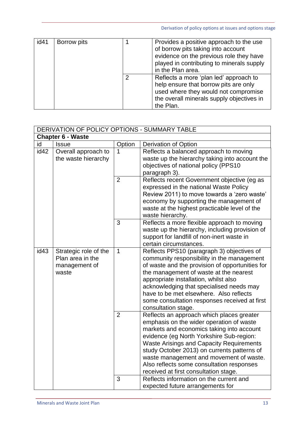| id41 | Borrow pits |   | Provides a positive approach to the use<br>of borrow pits taking into account<br>evidence on the previous role they have<br>played in contributing to minerals supply<br>in the Plan area. |
|------|-------------|---|--------------------------------------------------------------------------------------------------------------------------------------------------------------------------------------------|
|      |             | 2 | Reflects a more 'plan led' approach to<br>help ensure that borrow pits are only<br>used where they would not compromise<br>the overall minerals supply objectives in<br>the Plan.          |

| DERIVATION OF POLICY OPTIONS - SUMMARY TABLE |                                                                     |                |                                                                                                                                                                                                                                                                                                                                                                                                                   |
|----------------------------------------------|---------------------------------------------------------------------|----------------|-------------------------------------------------------------------------------------------------------------------------------------------------------------------------------------------------------------------------------------------------------------------------------------------------------------------------------------------------------------------------------------------------------------------|
| <b>Chapter 6 - Waste</b>                     |                                                                     |                |                                                                                                                                                                                                                                                                                                                                                                                                                   |
| id                                           | <b>Issue</b>                                                        | Option         | Derivation of Option                                                                                                                                                                                                                                                                                                                                                                                              |
| id42                                         | Overall approach to<br>the waste hierarchy                          | 1              | Reflects a balanced approach to moving<br>waste up the hierarchy taking into account the<br>objectives of national policy (PPS10<br>paragraph 3).                                                                                                                                                                                                                                                                 |
|                                              |                                                                     | $\overline{2}$ | Reflects recent Government objective (eg as<br>expressed in the national Waste Policy<br>Review 2011) to move towards a 'zero waste'<br>economy by supporting the management of<br>waste at the highest practicable level of the<br>waste hierarchy.                                                                                                                                                              |
|                                              |                                                                     | 3              | Reflects a more flexible approach to moving<br>waste up the hierarchy, including provision of<br>support for landfill of non-inert waste in<br>certain circumstances.                                                                                                                                                                                                                                             |
| id <sub>43</sub>                             | Strategic role of the<br>Plan area in the<br>management of<br>waste | $\mathbf{1}$   | Reflects PPS10 (paragraph 3) objectives of<br>community responsibility in the management<br>of waste and the provision of opportunities for<br>the management of waste at the nearest<br>appropriate installation, whilst also<br>acknowledging that specialised needs may<br>have to be met elsewhere. Also reflects<br>some consultation responses received at first<br>consultation stage.                     |
|                                              |                                                                     | $\overline{2}$ | Reflects an approach which places greater<br>emphasis on the wider operation of waste<br>markets and economics taking into account<br>evidence (eg North Yorkshire Sub-region:<br><b>Waste Arisings and Capacity Requirements</b><br>study October 2013) on currents patterns of<br>waste management and movement of waste.<br>Also reflects some consultation responses<br>received at first consultation stage. |
|                                              |                                                                     | 3              | Reflects information on the current and<br>expected future arrangements for                                                                                                                                                                                                                                                                                                                                       |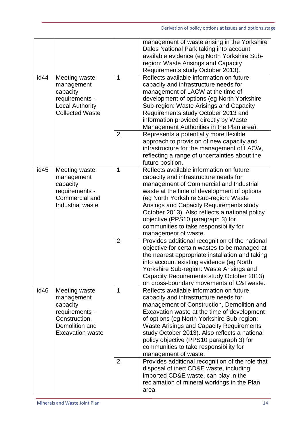|      |                                                                                                                         |                | management of waste arising in the Yorkshire<br>Dales National Park taking into account<br>available evidence (eg North Yorkshire Sub-<br>region: Waste Arisings and Capacity<br>Requirements study October 2013).                                                                                                                                                                                                                             |
|------|-------------------------------------------------------------------------------------------------------------------------|----------------|------------------------------------------------------------------------------------------------------------------------------------------------------------------------------------------------------------------------------------------------------------------------------------------------------------------------------------------------------------------------------------------------------------------------------------------------|
| id44 | Meeting waste<br>management<br>capacity<br>requirements -<br><b>Local Authority</b><br><b>Collected Waste</b>           | 1              | Reflects available information on future<br>capacity and infrastructure needs for<br>management of LACW at the time of<br>development of options (eg North Yorkshire<br>Sub-region: Waste Arisings and Capacity<br>Requirements study October 2013 and<br>information provided directly by Waste<br>Management Authorities in the Plan area).                                                                                                  |
|      |                                                                                                                         | $\overline{2}$ | Represents a potentially more flexible<br>approach to provision of new capacity and<br>infrastructure for the management of LACW,<br>reflecting a range of uncertainties about the<br>future position.                                                                                                                                                                                                                                         |
| id45 | Meeting waste<br>management<br>capacity<br>requirements -<br>Commercial and<br>Industrial waste                         | 1              | Reflects available information on future<br>capacity and infrastructure needs for<br>management of Commercial and Industrial<br>waste at the time of development of options<br>(eg North Yorkshire Sub-region: Waste<br>Arisings and Capacity Requirements study<br>October 2013). Also reflects a national policy<br>objective (PPS10 paragraph 3) for<br>communities to take responsibility for<br>management of waste.                      |
|      |                                                                                                                         | $\overline{2}$ | Provides additional recognition of the national<br>objective for certain wastes to be managed at<br>the nearest appropriate installation and taking<br>into account existing evidence (eg North<br>Yorkshire Sub-region: Waste Arisings and<br>Capacity Requirements study October 2013)<br>on cross-boundary movements of C&I waste.                                                                                                          |
| id46 | Meeting waste<br>management<br>capacity<br>requirements -<br>Construction,<br>Demolition and<br><b>Excavation waste</b> | $\mathbf 1$    | Reflects available information on future<br>capacity and infrastructure needs for<br>management of Construction, Demolition and<br>Excavation waste at the time of development<br>of options (eg North Yorkshire Sub-region:<br><b>Waste Arisings and Capacity Requirements</b><br>study October 2013). Also reflects a national<br>policy objective (PPS10 paragraph 3) for<br>communities to take responsibility for<br>management of waste. |
|      |                                                                                                                         | $\overline{2}$ | Provides additional recognition of the role that<br>disposal of inert CD&E waste, including<br>imported CD&E waste, can play in the<br>reclamation of mineral workings in the Plan<br>area.                                                                                                                                                                                                                                                    |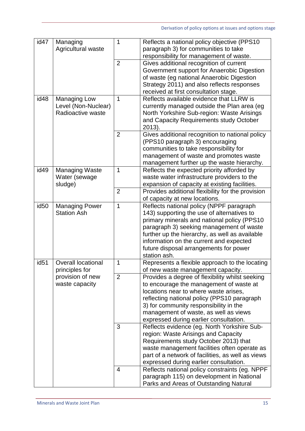| id47             | Managing<br>Agricultural waste | $\mathbf{1}$   | Reflects a national policy objective (PPS10<br>paragraph 3) for communities to take   |
|------------------|--------------------------------|----------------|---------------------------------------------------------------------------------------|
|                  |                                |                | responsibility for management of waste.                                               |
|                  |                                | $\overline{2}$ | Gives additional recognition of current                                               |
|                  |                                |                | Government support for Anaerobic Digestion                                            |
|                  |                                |                | of waste (eg national Anaerobic Digestion                                             |
|                  |                                |                | Strategy 2011) and also reflects responses                                            |
|                  |                                |                | received at first consultation stage.                                                 |
| id48             | <b>Managing Low</b>            | 1              | Reflects available evidence that LLRW is                                              |
|                  | Level (Non-Nuclear)            |                | currently managed outside the Plan area (eg                                           |
|                  | Radioactive waste              |                | North Yorkshire Sub-region: Waste Arisings                                            |
|                  |                                |                | and Capacity Requirements study October                                               |
|                  |                                |                | 2013).                                                                                |
|                  |                                | $\overline{2}$ | Gives additional recognition to national policy                                       |
|                  |                                |                | (PPS10 paragraph 3) encouraging                                                       |
|                  |                                |                | communities to take responsibility for                                                |
|                  |                                |                | management of waste and promotes waste                                                |
|                  |                                |                | management further up the waste hierarchy.                                            |
| id49             | <b>Managing Waste</b>          | 1              | Reflects the expected priority afforded by                                            |
|                  | Water (sewage                  |                | waste water infrastructure providers to the                                           |
|                  | sludge)                        | $\overline{2}$ | expansion of capacity at existing facilities.                                         |
|                  |                                |                | Provides additional flexibility for the provision<br>of capacity at new locations.    |
| id <sub>50</sub> | <b>Managing Power</b>          | $\mathbf 1$    | Reflects national policy (NPPF paragraph                                              |
|                  | <b>Station Ash</b>             |                | 143) supporting the use of alternatives to                                            |
|                  |                                |                | primary minerals and national policy (PPS10                                           |
|                  |                                |                | paragraph 3) seeking management of waste                                              |
|                  |                                |                | further up the hierarchy, as well as available                                        |
|                  |                                |                | information on the current and expected                                               |
|                  |                                |                | future disposal arrangements for power                                                |
|                  |                                |                | station ash.                                                                          |
| id <sub>51</sub> | <b>Overall locational</b>      | $\mathbf 1$    | Represents a flexible approach to the locating                                        |
|                  | principles for                 |                | of new waste management capacity.                                                     |
|                  | provision of new               | $\overline{2}$ | Provides a degree of flexibility whilst seeking                                       |
|                  | waste capacity                 |                | to encourage the management of waste at                                               |
|                  |                                |                | locations near to where waste arises,                                                 |
|                  |                                |                | reflecting national policy (PPS10 paragraph                                           |
|                  |                                |                | 3) for community responsibility in the                                                |
|                  |                                |                | management of waste, as well as views                                                 |
|                  |                                | 3              | expressed during earlier consultation.<br>Reflects evidence (eg. North Yorkshire Sub- |
|                  |                                |                |                                                                                       |
|                  |                                |                | region: Waste Arisings and Capacity<br>Requirements study October 2013) that          |
|                  |                                |                | waste management facilities often operate as                                          |
|                  |                                |                | part of a network of facilities, as well as views                                     |
|                  |                                |                | expressed during earlier consultation.                                                |
|                  |                                | $\overline{4}$ | Reflects national policy constraints (eg. NPPF                                        |
|                  |                                |                | paragraph 115) on development in National                                             |
|                  |                                |                | Parks and Areas of Outstanding Natural                                                |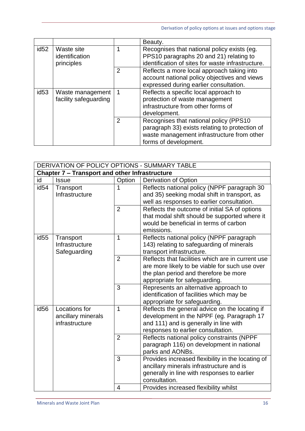Derivation of policy options at issues and options stage

|                  |                                            |                | Beauty.                                                                                                                                                          |
|------------------|--------------------------------------------|----------------|------------------------------------------------------------------------------------------------------------------------------------------------------------------|
| id <sub>52</sub> | Waste site<br>identification<br>principles | 1              | Recognises that national policy exists (eg.<br>PPS10 paragraphs 20 and 21) relating to<br>identification of sites for waste infrastructure.                      |
|                  |                                            | $\overline{2}$ | Reflects a more local approach taking into<br>account national policy objectives and views<br>expressed during earlier consultation.                             |
| id <sub>53</sub> | Waste management<br>facility safeguarding  | -1             | Reflects a specific local approach to<br>protection of waste management<br>infrastructure from other forms of<br>development.                                    |
|                  |                                            | $\overline{2}$ | Recognises that national policy (PPS10)<br>paragraph 33) exists relating to protection of<br>waste management infrastructure from other<br>forms of development. |

|                                                | DERIVATION OF POLICY OPTIONS - SUMMARY TABLE |                |                                                                                    |  |  |
|------------------------------------------------|----------------------------------------------|----------------|------------------------------------------------------------------------------------|--|--|
| Chapter 7 - Transport and other Infrastructure |                                              |                |                                                                                    |  |  |
| id                                             | <b>Issue</b>                                 | Option         | Derivation of Option                                                               |  |  |
| id <sub>54</sub>                               | Transport                                    | 1              | Reflects national policy (NPPF paragraph 30                                        |  |  |
|                                                | Infrastructure                               |                | and 35) seeking modal shift in transport, as                                       |  |  |
|                                                |                                              |                | well as responses to earlier consultation.                                         |  |  |
|                                                |                                              | $\overline{2}$ | Reflects the outcome of initial SA of options                                      |  |  |
|                                                |                                              |                | that modal shift should be supported where it                                      |  |  |
|                                                |                                              |                | would be beneficial in terms of carbon                                             |  |  |
|                                                |                                              |                | emissions.                                                                         |  |  |
| id <sub>55</sub>                               | Transport                                    | 1              | Reflects national policy (NPPF paragraph                                           |  |  |
|                                                | Infrastructure                               |                | 143) relating to safeguarding of minerals                                          |  |  |
|                                                | Safeguarding                                 |                | transport infrastructure.                                                          |  |  |
|                                                |                                              | $\overline{2}$ | Reflects that facilities which are in current use                                  |  |  |
|                                                |                                              |                | are more likely to be viable for such use over                                     |  |  |
|                                                |                                              |                | the plan period and therefore be more                                              |  |  |
|                                                |                                              | 3              | appropriate for safeguarding.                                                      |  |  |
|                                                |                                              |                | Represents an alternative approach to<br>identification of facilities which may be |  |  |
|                                                |                                              |                | appropriate for safeguarding.                                                      |  |  |
| id <sub>56</sub>                               | Locations for                                | 1              | Reflects the general advice on the locating if                                     |  |  |
|                                                | ancillary minerals                           |                | development in the NPPF (eg. Paragraph 17                                          |  |  |
|                                                | infrastructure                               |                | and 111) and is generally in line with                                             |  |  |
|                                                |                                              |                | responses to earlier consultation.                                                 |  |  |
|                                                |                                              | $\overline{2}$ | Reflects national policy constraints (NPPF                                         |  |  |
|                                                |                                              |                | paragraph 116) on development in national                                          |  |  |
|                                                |                                              |                | parks and AONBs.                                                                   |  |  |
|                                                |                                              | 3              | Provides increased flexibility in the locating of                                  |  |  |
|                                                |                                              |                | ancillary minerals infrastructure and is                                           |  |  |
|                                                |                                              |                | generally in line with responses to earlier                                        |  |  |
|                                                |                                              |                | consultation.                                                                      |  |  |
|                                                |                                              | 4              | Provides increased flexibility whilst                                              |  |  |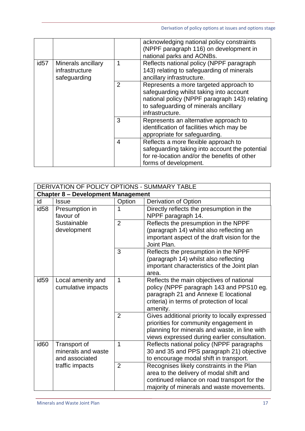Derivation of policy options at issues and options stage

|                                                                          |   |                                                                                                                    | acknowledging national policy constraints<br>(NPPF paragraph 116) on development in<br>national parks and AONBs.                                                                               |
|--------------------------------------------------------------------------|---|--------------------------------------------------------------------------------------------------------------------|------------------------------------------------------------------------------------------------------------------------------------------------------------------------------------------------|
| id <sub>57</sub><br>Minerals ancillary<br>infrastructure<br>safeguarding | 1 | Reflects national policy (NPPF paragraph<br>143) relating to safeguarding of minerals<br>ancillary infrastructure. |                                                                                                                                                                                                |
|                                                                          |   | $\mathcal{P}$                                                                                                      | Represents a more targeted approach to<br>safeguarding whilst taking into account<br>national policy (NPPF paragraph 143) relating<br>to safeguarding of minerals ancillary<br>infrastructure. |
|                                                                          |   | 3                                                                                                                  | Represents an alternative approach to<br>identification of facilities which may be<br>appropriate for safeguarding.                                                                            |
|                                                                          |   | $\overline{4}$                                                                                                     | Reflects a more flexible approach to<br>safeguarding taking into account the potential<br>for re-location and/or the benefits of other<br>forms of development.                                |

|                  | DERIVATION OF POLICY OPTIONS - SUMMARY TABLE         |                |                                                                                                                                                                                           |  |  |
|------------------|------------------------------------------------------|----------------|-------------------------------------------------------------------------------------------------------------------------------------------------------------------------------------------|--|--|
|                  | <b>Chapter 8 - Development Management</b>            |                |                                                                                                                                                                                           |  |  |
| id               | <b>Issue</b>                                         | Option         | Derivation of Option                                                                                                                                                                      |  |  |
| id <sub>58</sub> | Presumption in<br>favour of                          |                | Directly reflects the presumption in the<br>NPPF paragraph 14.                                                                                                                            |  |  |
|                  | Sustainable<br>development                           | $\overline{2}$ | Reflects the presumption in the NPPF<br>(paragraph 14) whilst also reflecting an<br>important aspect of the draft vision for the<br>Joint Plan.                                           |  |  |
|                  |                                                      | 3              | Reflects the presumption in the NPPF<br>(paragraph 14) whilst also reflecting<br>important characteristics of the Joint plan<br>area.                                                     |  |  |
| id <sub>59</sub> | Local amenity and<br>cumulative impacts              | 1              | Reflects the main objectives of national<br>policy (NPPF paragraph 143 and PPS10 eg.<br>paragraph 21 and Annexe E locational<br>criteria) in terms of protection of local<br>amenity.     |  |  |
|                  |                                                      | $\overline{2}$ | Gives additional priority to locally expressed<br>priorities for community engagement in<br>planning for minerals and waste, in line with<br>views expressed during earlier consultation. |  |  |
| id <sub>60</sub> | Transport of<br>minerals and waste<br>and associated | 1              | Reflects national policy (NPPF paragraphs<br>30 and 35 and PPS paragraph 21) objective<br>to encourage modal shift in transport.                                                          |  |  |
|                  | traffic impacts                                      | $\overline{2}$ | Recognises likely constraints in the Plan<br>area to the delivery of modal shift and<br>continued reliance on road transport for the<br>majority of minerals and waste movements.         |  |  |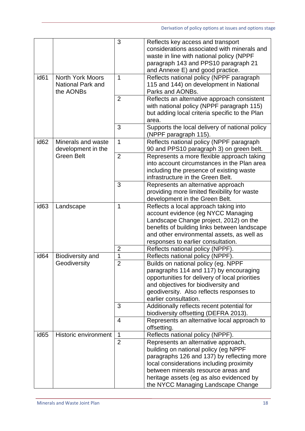|                  |                                                                  | 3              | Reflects key access and transport<br>considerations associated with minerals and<br>waste in line with national policy (NPPF<br>paragraph 143 and PPS10 paragraph 21<br>and Annexe E) and good practice.                                                                                       |
|------------------|------------------------------------------------------------------|----------------|------------------------------------------------------------------------------------------------------------------------------------------------------------------------------------------------------------------------------------------------------------------------------------------------|
| id <sub>61</sub> | <b>North York Moors</b><br><b>National Park and</b><br>the AONBs | $\mathbf 1$    | Reflects national policy (NPPF paragraph<br>115 and 144) on development in National<br>Parks and AONBs.                                                                                                                                                                                        |
|                  |                                                                  | $\overline{2}$ | Reflects an alternative approach consistent<br>with national policy (NPPF paragraph 115)<br>but adding local criteria specific to the Plan<br>area.                                                                                                                                            |
|                  |                                                                  | 3              | Supports the local delivery of national policy<br>(NPPF paragraph 115).                                                                                                                                                                                                                        |
| id <sub>62</sub> | Minerals and waste<br>development in the                         | $\mathbf{1}$   | Reflects national policy (NPPF paragraph<br>90 and PPS10 paragraph 3) on green belt.                                                                                                                                                                                                           |
|                  | <b>Green Belt</b>                                                | $\overline{2}$ | Represents a more flexible approach taking<br>into account circumstances in the Plan area<br>including the presence of existing waste<br>infrastructure in the Green Belt.                                                                                                                     |
|                  |                                                                  | 3              | Represents an alternative approach<br>providing more limited flexibility for waste<br>development in the Green Belt.                                                                                                                                                                           |
| id <sub>63</sub> | Landscape                                                        | 1              | Reflects a local approach taking into<br>account evidence (eg NYCC Managing<br>Landscape Change project, 2012) on the<br>benefits of building links between landscape<br>and other environmental assets, as well as<br>responses to earlier consultation.                                      |
|                  |                                                                  | $\overline{2}$ | Reflects national policy (NPPF).                                                                                                                                                                                                                                                               |
| id <sub>64</sub> | Biodiversity and                                                 | 1              | Reflects national policy (NPPF).                                                                                                                                                                                                                                                               |
|                  | Geodiversity                                                     | $\overline{2}$ | Builds on national policy (eg. NPPF<br>paragraphs 114 and 117) by encouraging<br>opportunities for delivery of local priorities<br>and objectives for biodiversity and<br>geodiversity. Also reflects responses to<br>earlier consultation.                                                    |
|                  |                                                                  | 3              | Additionally reflects recent potential for<br>biodiversity offsetting (DEFRA 2013).                                                                                                                                                                                                            |
|                  |                                                                  | $\overline{4}$ | Represents an alternative local approach to<br>offsetting.                                                                                                                                                                                                                                     |
| id <sub>65</sub> | <b>Historic environment</b>                                      | $\mathbf 1$    | Reflects national policy (NPPF).                                                                                                                                                                                                                                                               |
|                  |                                                                  | $\overline{2}$ | Represents an alternative approach,<br>building on national policy (eg NPPF<br>paragraphs 126 and 137) by reflecting more<br>local considerations including proximity<br>between minerals resource areas and<br>heritage assets (eg as also evidenced by<br>the NYCC Managing Landscape Change |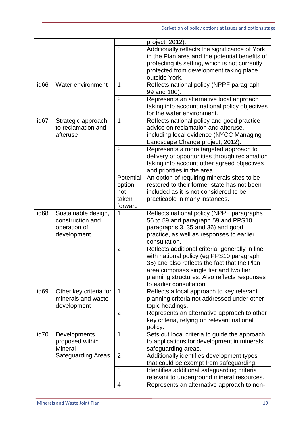|                  |                           |                | project, 2012).                                          |
|------------------|---------------------------|----------------|----------------------------------------------------------|
|                  |                           | 3              | Additionally reflects the significance of York           |
|                  |                           |                | in the Plan area and the potential benefits of           |
|                  |                           |                | protecting its setting, which is not currently           |
|                  |                           |                |                                                          |
|                  |                           |                | protected from development taking place<br>outside York. |
|                  |                           |                |                                                          |
| id <sub>66</sub> | Water environment         | 1              | Reflects national policy (NPPF paragraph<br>99 and 100). |
|                  |                           | $\overline{2}$ | Represents an alternative local approach                 |
|                  |                           |                | taking into account national policy objectives           |
|                  |                           |                | for the water environment.                               |
| id <sub>67</sub> | Strategic approach        | 1              | Reflects national policy and good practice               |
|                  | to reclamation and        |                | advice on reclamation and afteruse,                      |
|                  | afteruse                  |                | including local evidence (NYCC Managing                  |
|                  |                           |                | Landscape Change project, 2012).                         |
|                  |                           | $\overline{2}$ | Represents a more targeted approach to                   |
|                  |                           |                | delivery of opportunities through reclamation            |
|                  |                           |                |                                                          |
|                  |                           |                | taking into account other agreed objectives              |
|                  |                           | Potential      | and priorities in the area.                              |
|                  |                           |                | An option of requiring minerals sites to be              |
|                  |                           | option         | restored to their former state has not been              |
|                  |                           | not            | included as it is not considered to be                   |
|                  |                           | taken          | practicable in many instances.                           |
|                  |                           | forward        |                                                          |
| id <sub>68</sub> | Sustainable design,       | 1              | Reflects national policy (NPPF paragraphs                |
|                  | construction and          |                | 56 to 59 and paragraph 59 and PPS10                      |
|                  | operation of              |                | paragraphs 3, 35 and 36) and good                        |
|                  | development               |                | practice, as well as responses to earlier                |
|                  |                           |                | consultation.                                            |
|                  |                           | $\overline{2}$ | Reflects additional criteria, generally in line          |
|                  |                           |                | with national policy (eg PPS10 paragraph                 |
|                  |                           |                | 35) and also reflects the fact that the Plan             |
|                  |                           |                | area comprises single tier and two tier                  |
|                  |                           |                | planning structures. Also reflects responses             |
|                  |                           |                | to earlier consultation.                                 |
| id <sub>69</sub> | Other key criteria for    | $\mathbf 1$    | Reflects a local approach to key relevant                |
|                  | minerals and waste        |                | planning criteria not addressed under other              |
|                  | development               |                | topic headings.                                          |
|                  |                           | $\overline{2}$ | Represents an alternative approach to other              |
|                  |                           |                | key criteria, relying on relevant national               |
|                  |                           |                | policy.                                                  |
| id70             | Developments              | 1              | Sets out local criteria to guide the approach            |
|                  | proposed within           |                | to applications for development in minerals              |
|                  | <b>Mineral</b>            |                | safeguarding areas.                                      |
|                  | <b>Safeguarding Areas</b> | $\overline{2}$ | Additionally identifies development types                |
|                  |                           |                | that could be exempt from safeguarding.                  |
|                  |                           | 3              | Identifies additional safeguarding criteria              |
|                  |                           |                | relevant to underground mineral resources.               |
|                  |                           | $\overline{4}$ | Represents an alternative approach to non-               |
|                  |                           |                |                                                          |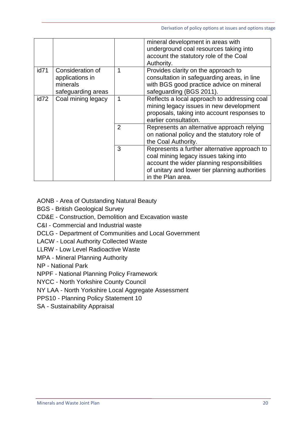|      |                                                                       |             | mineral development in areas with<br>underground coal resources taking into<br>account the statutory role of the Coal<br>Authority.                                                                         |
|------|-----------------------------------------------------------------------|-------------|-------------------------------------------------------------------------------------------------------------------------------------------------------------------------------------------------------------|
| id71 | Consideration of<br>applications in<br>minerals<br>safeguarding areas | 1           | Provides clarity on the approach to<br>consultation in safeguarding areas, in line<br>with BGS good practice advice on mineral<br>safeguarding (BGS 2011).                                                  |
| id72 | Coal mining legacy                                                    | $\mathbf 1$ | Reflects a local approach to addressing coal<br>mining legacy issues in new development<br>proposals, taking into account responses to<br>earlier consultation.                                             |
|      |                                                                       | 2           | Represents an alternative approach relying<br>on national policy and the statutory role of<br>the Coal Authority.                                                                                           |
|      |                                                                       | 3           | Represents a further alternative approach to<br>coal mining legacy issues taking into<br>account the wider planning responsibilities<br>of unitary and lower tier planning authorities<br>in the Plan area. |

AONB - Area of Outstanding Natural Beauty

BGS - British Geological Survey

CD&E - Construction, Demolition and Excavation waste

C&I - Commercial and Industrial waste

DCLG - Department of Communities and Local Government

LACW - Local Authority Collected Waste

LLRW - Low Level Radioactive Waste

MPA - Mineral Planning Authority

NP - National Park

NPPF - National Planning Policy Framework

NYCC - North Yorkshire County Council

NY LAA - North Yorkshire Local Aggregate Assessment

PPS10 - Planning Policy Statement 10

SA - Sustainability Appraisal